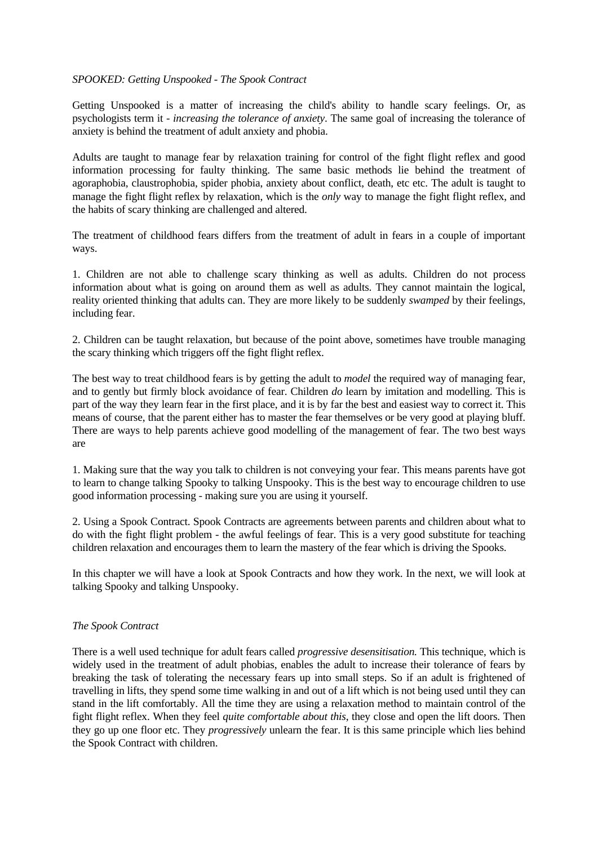#### *SPOOKED: Getting Unspooked* - *The Spook Contract*

Getting Unspooked is a matter of increasing the child's ability to handle scary feelings. Or, as psychologists term it - *increasing the tolerance of anxiety*. The same goal of increasing the tolerance of anxiety is behind the treatment of adult anxiety and phobia.

Adults are taught to manage fear by relaxation training for control of the fight flight reflex and good information processing for faulty thinking. The same basic methods lie behind the treatment of agoraphobia, claustrophobia, spider phobia, anxiety about conflict, death, etc etc. The adult is taught to manage the fight flight reflex by relaxation, which is the *only* way to manage the fight flight reflex, and the habits of scary thinking are challenged and altered.

The treatment of childhood fears differs from the treatment of adult in fears in a couple of important ways.

1. Children are not able to challenge scary thinking as well as adults. Children do not process information about what is going on around them as well as adults. They cannot maintain the logical, reality oriented thinking that adults can. They are more likely to be suddenly *swamped* by their feelings, including fear.

2. Children can be taught relaxation, but because of the point above, sometimes have trouble managing the scary thinking which triggers off the fight flight reflex.

The best way to treat childhood fears is by getting the adult to *model* the required way of managing fear, and to gently but firmly block avoidance of fear. Children *do* learn by imitation and modelling. This is part of the way they learn fear in the first place, and it is by far the best and easiest way to correct it. This means of course, that the parent either has to master the fear themselves or be very good at playing bluff. There are ways to help parents achieve good modelling of the management of fear. The two best ways are

1. Making sure that the way you talk to children is not conveying your fear. This means parents have got to learn to change talking Spooky to talking Unspooky. This is the best way to encourage children to use good information processing - making sure you are using it yourself.

2. Using a Spook Contract. Spook Contracts are agreements between parents and children about what to do with the fight flight problem - the awful feelings of fear. This is a very good substitute for teaching children relaxation and encourages them to learn the mastery of the fear which is driving the Spooks.

In this chapter we will have a look at Spook Contracts and how they work. In the next, we will look at talking Spooky and talking Unspooky.

### *The Spook Contract*

There is a well used technique for adult fears called *progressive desensitisation.* This technique, which is widely used in the treatment of adult phobias, enables the adult to increase their tolerance of fears by breaking the task of tolerating the necessary fears up into small steps. So if an adult is frightened of travelling in lifts, they spend some time walking in and out of a lift which is not being used until they can stand in the lift comfortably. All the time they are using a relaxation method to maintain control of the fight flight reflex. When they feel *quite comfortable about this*, they close and open the lift doors. Then they go up one floor etc. They *progressively* unlearn the fear. It is this same principle which lies behind the Spook Contract with children.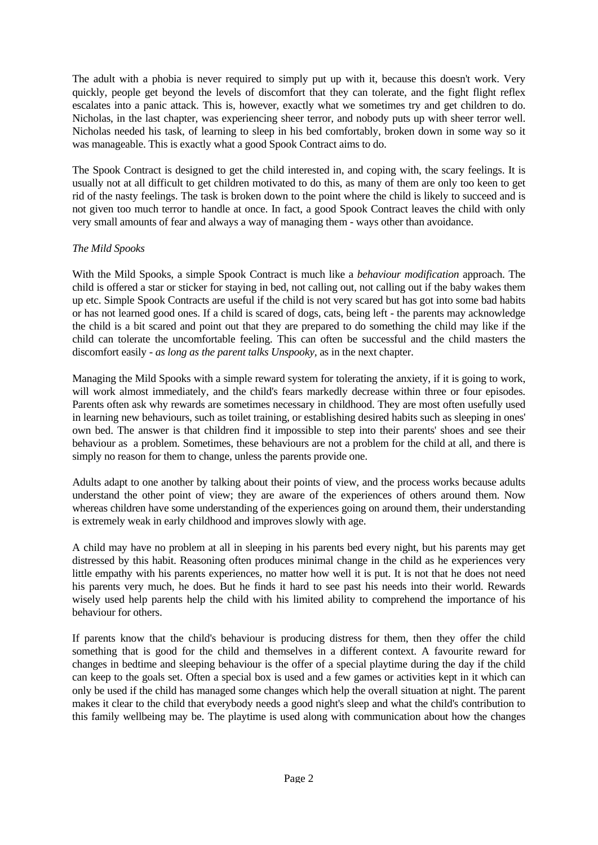The adult with a phobia is never required to simply put up with it, because this doesn't work. Very quickly, people get beyond the levels of discomfort that they can tolerate, and the fight flight reflex escalates into a panic attack. This is, however, exactly what we sometimes try and get children to do. Nicholas, in the last chapter, was experiencing sheer terror, and nobody puts up with sheer terror well. Nicholas needed his task, of learning to sleep in his bed comfortably, broken down in some way so it was manageable. This is exactly what a good Spook Contract aims to do.

The Spook Contract is designed to get the child interested in, and coping with, the scary feelings. It is usually not at all difficult to get children motivated to do this, as many of them are only too keen to get rid of the nasty feelings. The task is broken down to the point where the child is likely to succeed and is not given too much terror to handle at once. In fact, a good Spook Contract leaves the child with only very small amounts of fear and always a way of managing them - ways other than avoidance.

# *The Mild Spooks*

With the Mild Spooks, a simple Spook Contract is much like a *behaviour modification* approach. The child is offered a star or sticker for staying in bed, not calling out, not calling out if the baby wakes them up etc. Simple Spook Contracts are useful if the child is not very scared but has got into some bad habits or has not learned good ones. If a child is scared of dogs, cats, being left - the parents may acknowledge the child is a bit scared and point out that they are prepared to do something the child may like if the child can tolerate the uncomfortable feeling. This can often be successful and the child masters the discomfort easily - *as long as the parent talks Unspooky,* as in the next chapter.

Managing the Mild Spooks with a simple reward system for tolerating the anxiety, if it is going to work, will work almost immediately, and the child's fears markedly decrease within three or four episodes. Parents often ask why rewards are sometimes necessary in childhood. They are most often usefully used in learning new behaviours, such as toilet training, or establishing desired habits such as sleeping in ones' own bed. The answer is that children find it impossible to step into their parents' shoes and see their behaviour as a problem. Sometimes, these behaviours are not a problem for the child at all, and there is simply no reason for them to change, unless the parents provide one.

Adults adapt to one another by talking about their points of view, and the process works because adults understand the other point of view; they are aware of the experiences of others around them. Now whereas children have some understanding of the experiences going on around them, their understanding is extremely weak in early childhood and improves slowly with age.

A child may have no problem at all in sleeping in his parents bed every night, but his parents may get distressed by this habit. Reasoning often produces minimal change in the child as he experiences very little empathy with his parents experiences, no matter how well it is put. It is not that he does not need his parents very much, he does. But he finds it hard to see past his needs into their world. Rewards wisely used help parents help the child with his limited ability to comprehend the importance of his behaviour for others.

If parents know that the child's behaviour is producing distress for them, then they offer the child something that is good for the child and themselves in a different context. A favourite reward for changes in bedtime and sleeping behaviour is the offer of a special playtime during the day if the child can keep to the goals set. Often a special box is used and a few games or activities kept in it which can only be used if the child has managed some changes which help the overall situation at night. The parent makes it clear to the child that everybody needs a good night's sleep and what the child's contribution to this family wellbeing may be. The playtime is used along with communication about how the changes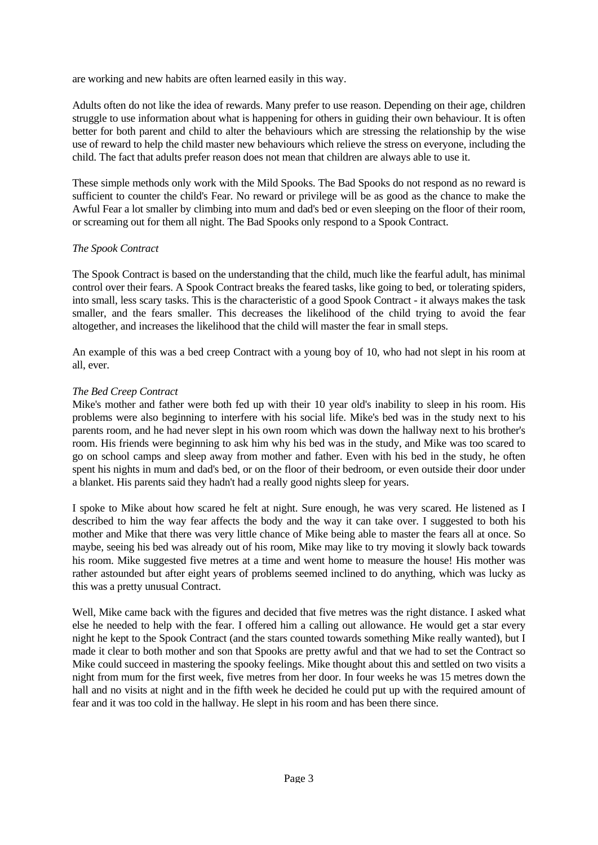are working and new habits are often learned easily in this way.

Adults often do not like the idea of rewards. Many prefer to use reason. Depending on their age, children struggle to use information about what is happening for others in guiding their own behaviour. It is often better for both parent and child to alter the behaviours which are stressing the relationship by the wise use of reward to help the child master new behaviours which relieve the stress on everyone, including the child. The fact that adults prefer reason does not mean that children are always able to use it.

These simple methods only work with the Mild Spooks. The Bad Spooks do not respond as no reward is sufficient to counter the child's Fear. No reward or privilege will be as good as the chance to make the Awful Fear a lot smaller by climbing into mum and dad's bed or even sleeping on the floor of their room, or screaming out for them all night. The Bad Spooks only respond to a Spook Contract.

### *The Spook Contract*

The Spook Contract is based on the understanding that the child, much like the fearful adult, has minimal control over their fears. A Spook Contract breaks the feared tasks, like going to bed, or tolerating spiders, into small, less scary tasks. This is the characteristic of a good Spook Contract - it always makes the task smaller, and the fears smaller. This decreases the likelihood of the child trying to avoid the fear altogether, and increases the likelihood that the child will master the fear in small steps.

An example of this was a bed creep Contract with a young boy of 10, who had not slept in his room at all, ever.

### *The Bed Creep Contract*

Mike's mother and father were both fed up with their 10 year old's inability to sleep in his room. His problems were also beginning to interfere with his social life. Mike's bed was in the study next to his parents room, and he had never slept in his own room which was down the hallway next to his brother's room. His friends were beginning to ask him why his bed was in the study, and Mike was too scared to go on school camps and sleep away from mother and father. Even with his bed in the study, he often spent his nights in mum and dad's bed, or on the floor of their bedroom, or even outside their door under a blanket. His parents said they hadn't had a really good nights sleep for years.

I spoke to Mike about how scared he felt at night. Sure enough, he was very scared. He listened as I described to him the way fear affects the body and the way it can take over. I suggested to both his mother and Mike that there was very little chance of Mike being able to master the fears all at once. So maybe, seeing his bed was already out of his room, Mike may like to try moving it slowly back towards his room. Mike suggested five metres at a time and went home to measure the house! His mother was rather astounded but after eight years of problems seemed inclined to do anything, which was lucky as this was a pretty unusual Contract.

Well, Mike came back with the figures and decided that five metres was the right distance. I asked what else he needed to help with the fear. I offered him a calling out allowance. He would get a star every night he kept to the Spook Contract (and the stars counted towards something Mike really wanted), but I made it clear to both mother and son that Spooks are pretty awful and that we had to set the Contract so Mike could succeed in mastering the spooky feelings. Mike thought about this and settled on two visits a night from mum for the first week, five metres from her door. In four weeks he was 15 metres down the hall and no visits at night and in the fifth week he decided he could put up with the required amount of fear and it was too cold in the hallway. He slept in his room and has been there since.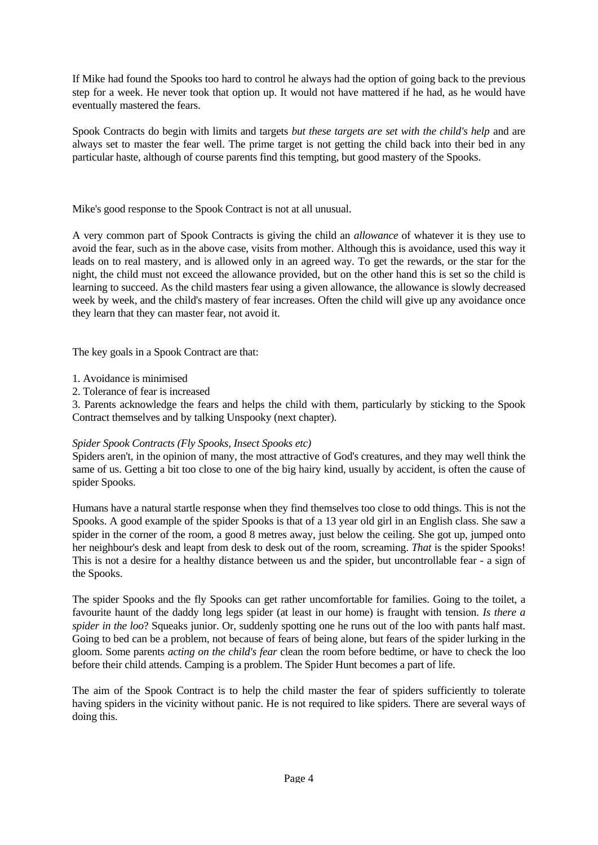If Mike had found the Spooks too hard to control he always had the option of going back to the previous step for a week. He never took that option up. It would not have mattered if he had, as he would have eventually mastered the fears.

Spook Contracts do begin with limits and targets *but these targets are set with the child's help* and are always set to master the fear well. The prime target is not getting the child back into their bed in any particular haste, although of course parents find this tempting, but good mastery of the Spooks.

Mike's good response to the Spook Contract is not at all unusual.

A very common part of Spook Contracts is giving the child an *allowance* of whatever it is they use to avoid the fear, such as in the above case, visits from mother. Although this is avoidance, used this way it leads on to real mastery, and is allowed only in an agreed way. To get the rewards, or the star for the night, the child must not exceed the allowance provided, but on the other hand this is set so the child is learning to succeed. As the child masters fear using a given allowance, the allowance is slowly decreased week by week, and the child's mastery of fear increases. Often the child will give up any avoidance once they learn that they can master fear, not avoid it.

The key goals in a Spook Contract are that:

1. Avoidance is minimised

2. Tolerance of fear is increased

3. Parents acknowledge the fears and helps the child with them, particularly by sticking to the Spook Contract themselves and by talking Unspooky (next chapter).

# *Spider Spook Contracts (Fly Spooks, Insect Spooks etc)*

Spiders aren't, in the opinion of many, the most attractive of God's creatures, and they may well think the same of us. Getting a bit too close to one of the big hairy kind, usually by accident, is often the cause of spider Spooks.

Humans have a natural startle response when they find themselves too close to odd things. This is not the Spooks. A good example of the spider Spooks is that of a 13 year old girl in an English class. She saw a spider in the corner of the room, a good 8 metres away, just below the ceiling. She got up, jumped onto her neighbour's desk and leapt from desk to desk out of the room, screaming. *That* is the spider Spooks! This is not a desire for a healthy distance between us and the spider, but uncontrollable fear - a sign of the Spooks.

The spider Spooks and the fly Spooks can get rather uncomfortable for families. Going to the toilet, a favourite haunt of the daddy long legs spider (at least in our home) is fraught with tension. *Is there a spider in the loo*? Squeaks junior. Or, suddenly spotting one he runs out of the loo with pants half mast. Going to bed can be a problem, not because of fears of being alone, but fears of the spider lurking in the gloom. Some parents *acting on the child's fear* clean the room before bedtime, or have to check the loo before their child attends. Camping is a problem. The Spider Hunt becomes a part of life.

The aim of the Spook Contract is to help the child master the fear of spiders sufficiently to tolerate having spiders in the vicinity without panic. He is not required to like spiders. There are several ways of doing this.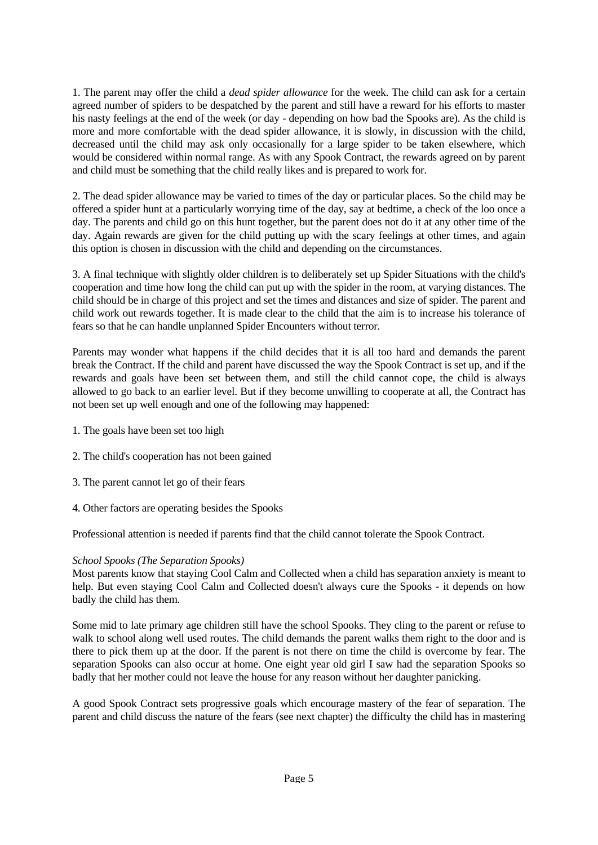1. The parent may offer the child a *dead spider allowance* for the week. The child can ask for a certain agreed number of spiders to be despatched by the parent and still have a reward for his efforts to master his nasty feelings at the end of the week (or day - depending on how bad the Spooks are). As the child is more and more comfortable with the dead spider allowance, it is slowly, in discussion with the child, decreased until the child may ask only occasionally for a large spider to be taken elsewhere, which would be considered within normal range. As with any Spook Contract, the rewards agreed on by parent and child must be something that the child really likes and is prepared to work for.

2. The dead spider allowance may be varied to times of the day or particular places. So the child may be offered a spider hunt at a particularly worrying time of the day, say at bedtime, a check of the loo once a day. The parents and child go on this hunt together, but the parent does not do it at any other time of the day. Again rewards are given for the child putting up with the scary feelings at other times, and again this option is chosen in discussion with the child and depending on the circumstances.

3. A final technique with slightly older children is to deliberately set up Spider Situations with the child's cooperation and time how long the child can put up with the spider in the room, at varying distances. The child should be in charge of this project and set the times and distances and size of spider. The parent and child work out rewards together. It is made clear to the child that the aim is to increase his tolerance of fears so that he can handle unplanned Spider Encounters without terror.

Parents may wonder what happens if the child decides that it is all too hard and demands the parent break the Contract. If the child and parent have discussed the way the Spook Contract is set up, and if the rewards and goals have been set between them, and still the child cannot cope, the child is always allowed to go back to an earlier level. But if they become unwilling to cooperate at all, the Contract has not been set up well enough and one of the following may happened:

- 1. The goals have been set too high
- 2. The child's cooperation has not been gained
- 3. The parent cannot let go of their fears
- 4. Other factors are operating besides the Spooks

Professional attention is needed if parents find that the child cannot tolerate the Spook Contract.

# *School Spooks (The Separation Spooks)*

Most parents know that staying Cool Calm and Collected when a child has separation anxiety is meant to help. But even staying Cool Calm and Collected doesn't always cure the Spooks - it depends on how badly the child has them.

Some mid to late primary age children still have the school Spooks. They cling to the parent or refuse to walk to school along well used routes. The child demands the parent walks them right to the door and is there to pick them up at the door. If the parent is not there on time the child is overcome by fear. The separation Spooks can also occur at home. One eight year old girl I saw had the separation Spooks so badly that her mother could not leave the house for any reason without her daughter panicking.

A good Spook Contract sets progressive goals which encourage mastery of the fear of separation. The parent and child discuss the nature of the fears (see next chapter) the difficulty the child has in mastering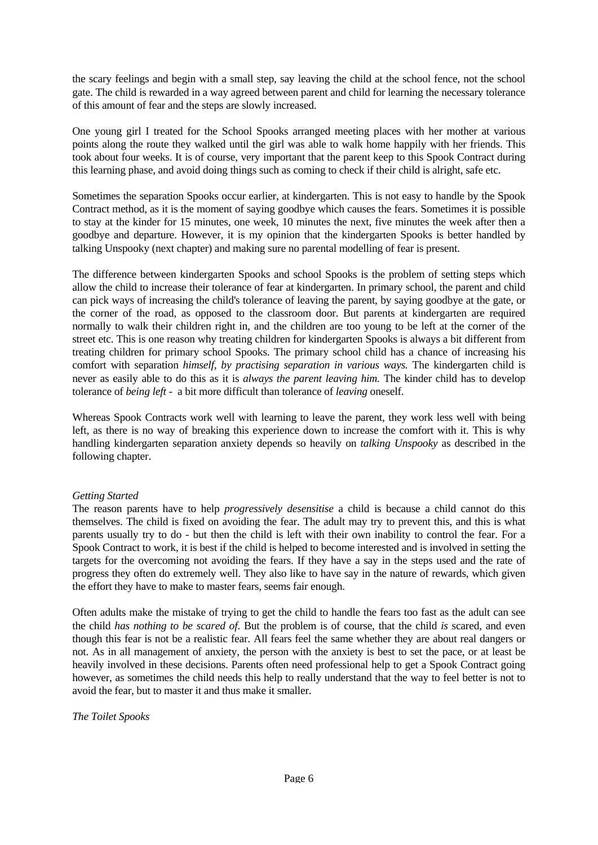the scary feelings and begin with a small step, say leaving the child at the school fence, not the school gate. The child is rewarded in a way agreed between parent and child for learning the necessary tolerance of this amount of fear and the steps are slowly increased.

One young girl I treated for the School Spooks arranged meeting places with her mother at various points along the route they walked until the girl was able to walk home happily with her friends. This took about four weeks. It is of course, very important that the parent keep to this Spook Contract during this learning phase, and avoid doing things such as coming to check if their child is alright, safe etc.

Sometimes the separation Spooks occur earlier, at kindergarten. This is not easy to handle by the Spook Contract method, as it is the moment of saying goodbye which causes the fears. Sometimes it is possible to stay at the kinder for 15 minutes, one week, 10 minutes the next, five minutes the week after then a goodbye and departure. However, it is my opinion that the kindergarten Spooks is better handled by talking Unspooky (next chapter) and making sure no parental modelling of fear is present.

The difference between kindergarten Spooks and school Spooks is the problem of setting steps which allow the child to increase their tolerance of fear at kindergarten. In primary school, the parent and child can pick ways of increasing the child's tolerance of leaving the parent, by saying goodbye at the gate, or the corner of the road, as opposed to the classroom door. But parents at kindergarten are required normally to walk their children right in, and the children are too young to be left at the corner of the street etc. This is one reason why treating children for kindergarten Spooks is always a bit different from treating children for primary school Spooks. The primary school child has a chance of increasing his comfort with separation *himself, by practising separation in various ways.* The kindergarten child is never as easily able to do this as it is *always the parent leaving him.* The kinder child has to develop tolerance of *being left -* a bit more difficult than tolerance of *leaving* oneself.

Whereas Spook Contracts work well with learning to leave the parent, they work less well with being left, as there is no way of breaking this experience down to increase the comfort with it. This is why handling kindergarten separation anxiety depends so heavily on *talking Unspooky* as described in the following chapter.

### *Getting Started*

The reason parents have to help *progressively desensitise* a child is because a child cannot do this themselves. The child is fixed on avoiding the fear. The adult may try to prevent this, and this is what parents usually try to do - but then the child is left with their own inability to control the fear. For a Spook Contract to work, it is best if the child is helped to become interested and is involved in setting the targets for the overcoming not avoiding the fears. If they have a say in the steps used and the rate of progress they often do extremely well. They also like to have say in the nature of rewards, which given the effort they have to make to master fears, seems fair enough.

Often adults make the mistake of trying to get the child to handle the fears too fast as the adult can see the child *has nothing to be scared of*. But the problem is of course, that the child *is* scared, and even though this fear is not be a realistic fear. All fears feel the same whether they are about real dangers or not. As in all management of anxiety, the person with the anxiety is best to set the pace, or at least be heavily involved in these decisions. Parents often need professional help to get a Spook Contract going however, as sometimes the child needs this help to really understand that the way to feel better is not to avoid the fear, but to master it and thus make it smaller.

*The Toilet Spooks*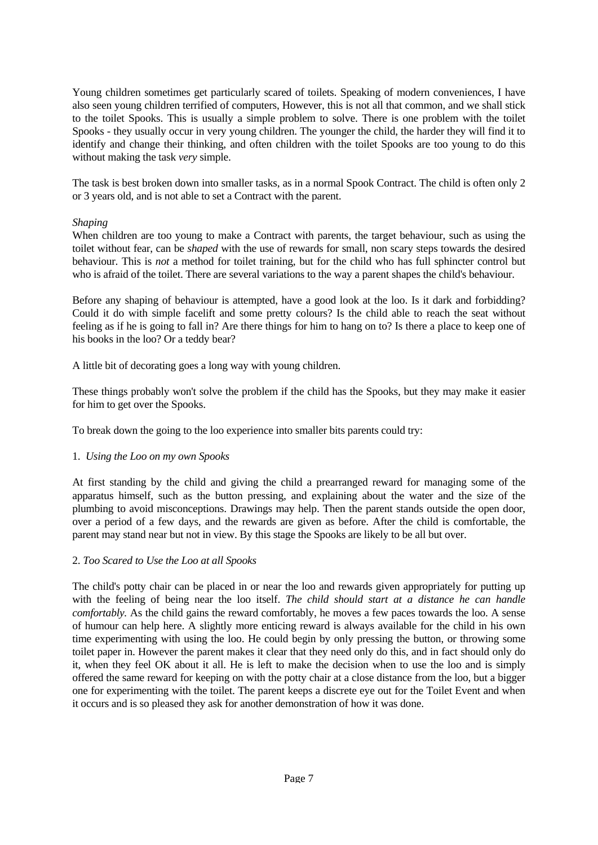Young children sometimes get particularly scared of toilets. Speaking of modern conveniences, I have also seen young children terrified of computers, However, this is not all that common, and we shall stick to the toilet Spooks. This is usually a simple problem to solve. There is one problem with the toilet Spooks - they usually occur in very young children. The younger the child, the harder they will find it to identify and change their thinking, and often children with the toilet Spooks are too young to do this without making the task *very* simple.

The task is best broken down into smaller tasks, as in a normal Spook Contract. The child is often only 2 or 3 years old, and is not able to set a Contract with the parent.

### *Shaping*

When children are too young to make a Contract with parents, the target behaviour, such as using the toilet without fear, can be *shaped* with the use of rewards for small, non scary steps towards the desired behaviour. This is *not* a method for toilet training, but for the child who has full sphincter control but who is afraid of the toilet. There are several variations to the way a parent shapes the child's behaviour.

Before any shaping of behaviour is attempted, have a good look at the loo. Is it dark and forbidding? Could it do with simple facelift and some pretty colours? Is the child able to reach the seat without feeling as if he is going to fall in? Are there things for him to hang on to? Is there a place to keep one of his books in the loo? Or a teddy bear?

A little bit of decorating goes a long way with young children.

These things probably won't solve the problem if the child has the Spooks, but they may make it easier for him to get over the Spooks.

To break down the going to the loo experience into smaller bits parents could try:

# 1. *Using the Loo on my own Spooks*

At first standing by the child and giving the child a prearranged reward for managing some of the apparatus himself, such as the button pressing, and explaining about the water and the size of the plumbing to avoid misconceptions. Drawings may help. Then the parent stands outside the open door, over a period of a few days, and the rewards are given as before. After the child is comfortable, the parent may stand near but not in view. By this stage the Spooks are likely to be all but over.

### 2. *Too Scared to Use the Loo at all Spooks*

The child's potty chair can be placed in or near the loo and rewards given appropriately for putting up with the feeling of being near the loo itself. *The child should start at a distance he can handle comfortably.* As the child gains the reward comfortably, he moves a few paces towards the loo. A sense of humour can help here. A slightly more enticing reward is always available for the child in his own time experimenting with using the loo. He could begin by only pressing the button, or throwing some toilet paper in. However the parent makes it clear that they need only do this, and in fact should only do it, when they feel OK about it all. He is left to make the decision when to use the loo and is simply offered the same reward for keeping on with the potty chair at a close distance from the loo, but a bigger one for experimenting with the toilet. The parent keeps a discrete eye out for the Toilet Event and when it occurs and is so pleased they ask for another demonstration of how it was done.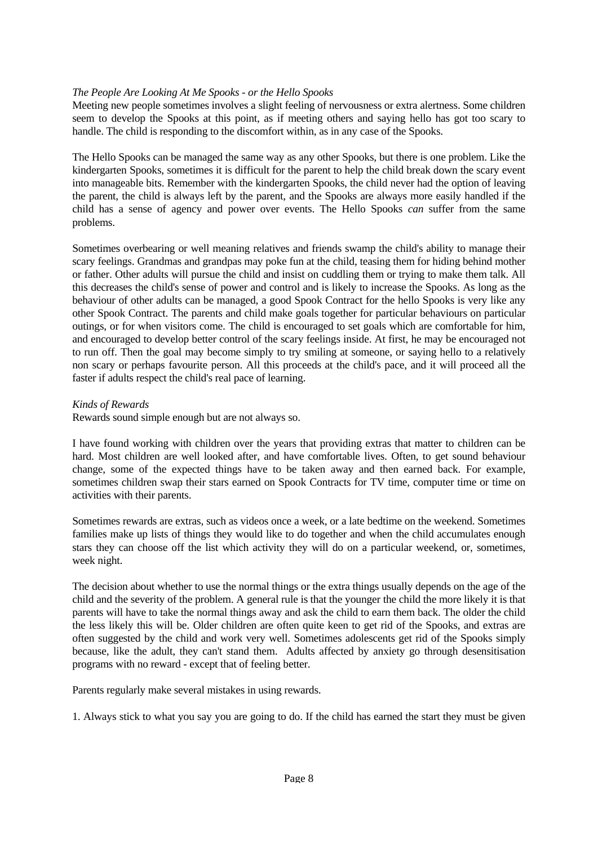### *The People Are Looking At Me Spooks - or the Hello Spooks*

Meeting new people sometimes involves a slight feeling of nervousness or extra alertness. Some children seem to develop the Spooks at this point, as if meeting others and saying hello has got too scary to handle. The child is responding to the discomfort within, as in any case of the Spooks.

The Hello Spooks can be managed the same way as any other Spooks, but there is one problem. Like the kindergarten Spooks, sometimes it is difficult for the parent to help the child break down the scary event into manageable bits. Remember with the kindergarten Spooks, the child never had the option of leaving the parent, the child is always left by the parent, and the Spooks are always more easily handled if the child has a sense of agency and power over events. The Hello Spooks *can* suffer from the same problems.

Sometimes overbearing or well meaning relatives and friends swamp the child's ability to manage their scary feelings. Grandmas and grandpas may poke fun at the child, teasing them for hiding behind mother or father. Other adults will pursue the child and insist on cuddling them or trying to make them talk. All this decreases the child's sense of power and control and is likely to increase the Spooks. As long as the behaviour of other adults can be managed, a good Spook Contract for the hello Spooks is very like any other Spook Contract. The parents and child make goals together for particular behaviours on particular outings, or for when visitors come. The child is encouraged to set goals which are comfortable for him, and encouraged to develop better control of the scary feelings inside. At first, he may be encouraged not to run off. Then the goal may become simply to try smiling at someone, or saying hello to a relatively non scary or perhaps favourite person. All this proceeds at the child's pace, and it will proceed all the faster if adults respect the child's real pace of learning.

*Kinds of Rewards*

Rewards sound simple enough but are not always so.

I have found working with children over the years that providing extras that matter to children can be hard. Most children are well looked after, and have comfortable lives. Often, to get sound behaviour change, some of the expected things have to be taken away and then earned back. For example, sometimes children swap their stars earned on Spook Contracts for TV time, computer time or time on activities with their parents.

Sometimes rewards are extras, such as videos once a week, or a late bedtime on the weekend. Sometimes families make up lists of things they would like to do together and when the child accumulates enough stars they can choose off the list which activity they will do on a particular weekend, or, sometimes, week night.

The decision about whether to use the normal things or the extra things usually depends on the age of the child and the severity of the problem. A general rule is that the younger the child the more likely it is that parents will have to take the normal things away and ask the child to earn them back. The older the child the less likely this will be. Older children are often quite keen to get rid of the Spooks, and extras are often suggested by the child and work very well. Sometimes adolescents get rid of the Spooks simply because, like the adult, they can't stand them. Adults affected by anxiety go through desensitisation programs with no reward - except that of feeling better.

Parents regularly make several mistakes in using rewards.

1. Always stick to what you say you are going to do. If the child has earned the start they must be given